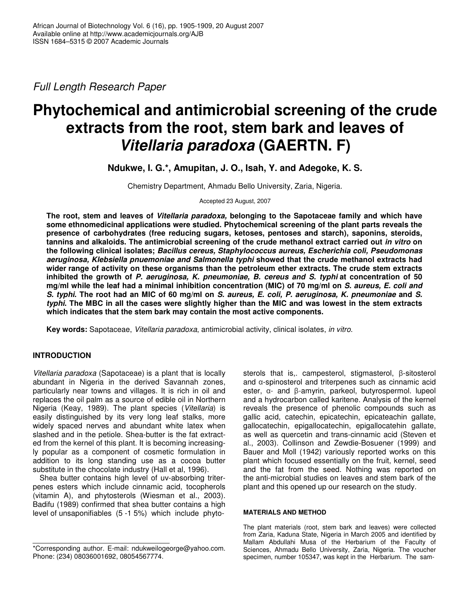*Full Length Research Paper*

# **Phytochemical and antimicrobial screening of the crude extracts from the root, stem bark and leaves of** *Vitellaria paradoxa* **(GAERTN. F)**

**Ndukwe, I. G.\*, Amupitan, J. O., Isah, Y. and Adegoke, K. S.**

Chemistry Department, Ahmadu Bello University, Zaria, Nigeria.

Accepted 23 August, 2007

**The root, stem and leaves of** *Vitellaria paradoxa,* **belonging to the Sapotaceae family and which have some ethnomedicinal applications were studied. Phytochemical screening of the plant parts reveals the presence of carbohydrates (free reducing sugars, ketoses, pentoses and starch), saponins, steroids, tannins and alkaloids. The antimicrobial screening of the crude methanol extract carried out** *in vitro* **on the following clinical isolates;** *Bacillus cereus, Staphylococcus aureus, Escherichia coli, Pseudomonas aeruginosa, Klebsiella pnuemoniae and Salmonella typhi* **showed that the crude methanol extracts had wider range of activity on these organisms than the petroleum ether extracts. The crude stem extracts inhibited the growth of** *P. aeruginosa, K. pneumoniae, B. cereus and S. typhi* **at concentration of 50** mg/ml while the leaf had a minimal inhibition concentration (MIC) of 70 mg/ml on S. aureus, E. coli and S. typhi. The root had an MIC of 60 mg/ml on S. aureus, E. coli, P. aeruginosa, K. pneumoniae and S. typhi. The MBC in all the cases were slightly higher than the MIC and was lowest in the stem extracts **which indicates that the stem bark may contain the most active components.**

**Key words:** Sapotaceae, *Vitellaria paradoxa*, antimicrobial activity, clinical isolates, *in vitro*.

# **INTRODUCTION**

*Vitellaria paradoxa* (Sapotaceae) is a plant that is locally abundant in Nigeria in the derived Savannah zones, particularly near towns and villages. It is rich in oil and replaces the oil palm as a source of edible oil in Northern Nigeria (Keay, 1989). The plant species (*Vitellaria*) is easily distinguished by its very long leaf stalks, more widely spaced nerves and abundant white latex when slashed and in the petiole. Shea-butter is the fat extracted from the kernel of this plant. It is becoming increasingly popular as a component of cosmetic formulation in addition to its long standing use as a cocoa butter substitute in the chocolate industry (Hall et al, 1996).

Shea butter contains high level of uv-absorbing triterpenes esters which include cinnamic acid, tocopherols (vitamin A), and phytosterols (Wiesman et al., 2003). Badifu (1989) confirmed that shea butter contains a high level of unsaponifiables (5 -1 5%) which include phytosterols that is, campesterol, stigmasterol, B-sitosterol and  $\alpha$ -spinosterol and triterpenes such as cinnamic acid ester, α- and β-amyrin, parkeol, butyrospermol. lupeol and a hydrocarbon called karitene. Analysis of the kernel reveals the presence of phenolic compounds such as gallic acid, catechin, epicatechin, epicateachin gallate, gallocatechin, epigallocatechin, epigallocatehin gallate, as well as quercetin and trans-cinnamic acid (Steven et al., 2003). Collinson and Zewdie-Bosuener (1999) and Bauer and Moll (1942) variously reported works on this plant which focused essentially on the fruit, kernel, seed and the fat from the seed. Nothing was reported on the anti-microbial studies on leaves and stem bark of the plant and this opened up our research on the study.

### **MATERIALS AND METHOD**

The plant materials (root, stem bark and leaves) were collected from Zaria, Kaduna State, Nigeria in March 2005 and identified by Mallam Abdullahi Musa of the Herbarium of the Faculty of Sciences, Ahmadu Bello University, Zaria, Nigeria. The voucher specimen, number 105347, was kept in the Herbarium. The sam-

<sup>\*</sup>Corresponding author. E-mail: ndukweilogeorge@yahoo.com. Phone: (234) 08036001692, 08054567774.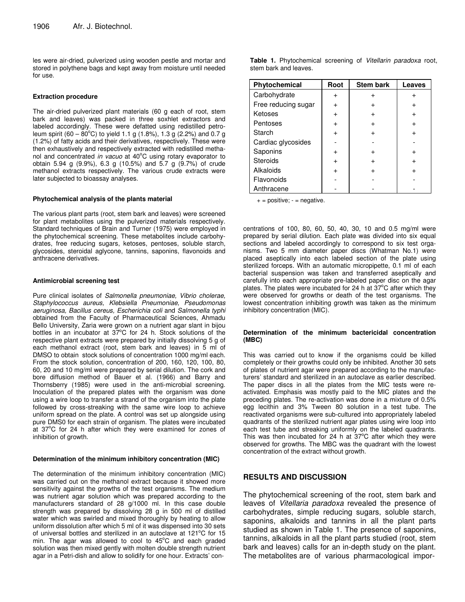les were air-dried, pulverized using wooden pestle and mortar and stored in polythene bags and kept away from moisture until needed for use.

## **Extraction procedure**

The air-dried pulverized plant materials (60 g each of root, stem bark and leaves) was packed in three soxhlet extractors and labeled accordingly. These were defatted using redistilled petroleum spirit (60 –  $80^{\circ}$ C) to yield 1.1 g (1.8%), 1.3 g (2.2%) and 0.7 g (1.2%) of fatty acids and their derivatives, respectively. These were then exhaustively and respectively extracted with redistilled methanol and concentrated in vacuo at 40°C using rotary evaporator to obtain 5.94 g (9.9%), 6.3 g (10.5%) and 5.7 g (9.7%) of crude methanol extracts respectively. The various crude extracts were later subjected to bioassay analyses.

#### **Phytochemical analysis of the plants material**

The various plant parts (root, stem bark and leaves) were screened for plant metabolites using the pulverized materials respectively. Standard techniques of Brain and Turner (1975) were employed in the phytochemical screening. These metabolites include carbohydrates, free reducing sugars, ketoses, pentoses, soluble starch, glycosides, steroidal aglycone, tannins, saponins, flavonoids and anthracene derivatives.

#### **Antimicrobial screening test**

Pure clinical isolates of *Salmonella pneumoniae, Vibrio cholerae, Staphylococcus aureus, Klebsiella Pneumoniae, Pseudomonas aeruginosa, Bacillus cereus, Escherichia coli* and *Salmonella typhi* obtained from the Faculty of Pharmaceutical Sciences, Ahmadu Bello University, Zaria were grown on a nutrient agar slant in bijou bottles in an incubator at 37°C for 24 h. Stock solutions of the respective plant extracts were prepared by initially dissolving 5 g of each methanol extract (root, stem bark and leaves) in 5 ml of DMSO to obtain stock solutions of concentration 1000 mg/ml each. From the stock solution, concentration of 200, 160, 120, 100, 80, 60, 20 and 10 mg/ml were prepared by serial dilution. The cork and bore diffusion method of Bauer et al. (1966) and Barry and Thornsberry (1985) were used in the anti-microbial screening. Inoculation of the prepared plates with the organism was done using a wire loop to transfer a strand of the organism into the plate followed by cross-streaking with the same wire loop to achieve uniform spread on the plate. A control was set up alongside using pure DMS0 for each strain of organism. The plates were incubated at 37°C for 24 h after which they were examined for zones of inhibition of growth.

#### **Determination of the minimum inhibitory concentration (MIC)**

The determination of the minimum inhibitory concentration (MIC) was carried out on the methanol extract because it showed more sensitivity against the growths of the test organisms. The medium was nutrient agar solution which was prepared according to the manufacturers standard of 28 g/1000 ml. In this case double strength was prepared by dissolving 28 g in 500 ml of distilled water which was swirled and mixed thoroughly by heating to allow uniform dissolution after which 5 ml of it was dispensed into 30 sets of universal bottles and sterilized in an autoclave at 121°C for 15 min. The agar was allowed to cool to 45°C and each graded solution was then mixed gently with molten double strength nutrient agar in a Petri-dish and allow to solidify for one hour. Extracts' con**Table 1.** Phytochemical screening of *Vitellarin paradoxa* root, stem bark and leaves.

| Phytochemical       | Root | <b>Stem bark</b> | Leaves |
|---------------------|------|------------------|--------|
| Carbohydrate        |      | $\div$           |        |
| Free reducing sugar |      |                  |        |
| Ketoses             |      |                  |        |
| Pentoses            |      |                  |        |
| Starch              |      |                  |        |
| Cardiac glycosides  |      |                  |        |
| Saponins            |      |                  |        |
| <b>Steroids</b>     |      |                  |        |
| Alkaloids           |      |                  |        |
| Flavonoids          |      |                  |        |
| Anthracene          |      |                  |        |

 $+=$  positive;  $=$  negative.

centrations of 100, 80, 60, 50, 40, 30, 10 and 0.5 mg/ml were prepared by serial dilution. Each plate was divided into six equal sections and labeled accordingly to correspond to six test organisms. Two 5 mm diameter paper discs (Whatman No.1) were placed aseptically into each labeled section of the plate using sterilized forceps. With an automatic micropipette, 0.1 ml of each bacterial suspension was taken and transferred aseptically and carefully into each appropriate pre-labeled paper disc on the agar plates. The plates were incubated for 24 h at  $37^{\circ}$ C after which they were observed for growths or death of the test organisms. The lowest concentration inhibiting growth was taken as the minimum inhibitory concentration (MIC).

#### **Determination of the minimum bactericidal concentration (MBC)**

This was carried out to know if the organisms could be killed completely or their growths could only be inhibited. Another 30 sets of plates of nutrient agar were prepared according to the manufacturers' standard and sterilized in an autoclave as earlier described. The paper discs in all the plates from the MIC tests were reactivated. Emphasis was mostly paid to the MIC plates and the preceding plates. The re-activation was done in a mixture of 0.5% egg lecithin and 3% Tween 80 solution in a test tube. The reactivated organisms were sub-cultured into appropriately labeled quadrants of the sterilized nutrient agar plates using wire loop into each test tube and streaking uniformly on the labeled quadrants. This was then incubated for 24 h at  $37^{\circ}$ C after which they were observed for growths. The MBC was the quadrant with the lowest concentration of the extract without growth.

## **RESULTS AND DISCUSSION**

The phytochemical screening of the root, stem bark and leaves of *Vitellaria paradoxa* revealed the presence of carbohydrates, simple reducing sugars, soluble starch, saponins, alkaloids and tannins in all the plant parts studied as shown in Table 1. The presence of saponins, tannins, alkaloids in all the plant parts studied (root, stem bark and leaves) calls for an in-depth study on the plant. The metabolites are of various pharmacological impor-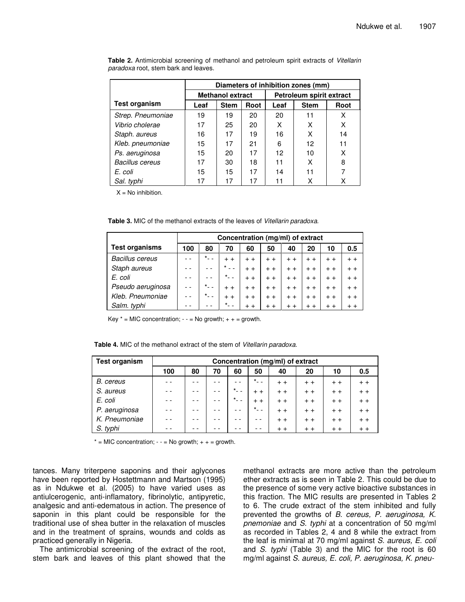|                        | Diameters of inhibition zones (mm) |                         |      |                          |             |      |  |  |  |
|------------------------|------------------------------------|-------------------------|------|--------------------------|-------------|------|--|--|--|
|                        |                                    | <b>Methanol extract</b> |      | Petroleum spirit extract |             |      |  |  |  |
| Test organism          | Leaf                               | <b>Stem</b>             | Root | Leaf                     | <b>Stem</b> | Root |  |  |  |
| Strep. Pneumoniae      | 19                                 | 19                      | 20   | 20                       | 11          | x    |  |  |  |
| Vibrio cholerae        | 17                                 | 25                      | 20   | x                        | x           | x    |  |  |  |
| Staph. aureus          | 16                                 | 17                      | 19   | 16                       | x           | 14   |  |  |  |
| Kleb. pneumoniae       | 15                                 | 17                      | 21   | 6                        | 12          | 11   |  |  |  |
| Ps. aeruginosa         | 15                                 | 20                      | 17   | 12                       | 10          | x    |  |  |  |
| <b>Bacillus cereus</b> | 17                                 | 30                      | 18   | 11                       | x           | 8    |  |  |  |
| E. coli                | 15                                 | 15                      | 17   | 14                       | 11          |      |  |  |  |
| Sal. typhi             | 17                                 | 17                      | 17   | 11                       | х           | Χ    |  |  |  |

**Table 2.** Antimicrobial screening of methanol and petroleum spirit extracts of *Vitellarin paradoxa* root, stem bark and leaves.

 $X = No$  inhibition.

**Table 3.** MIC of the methanol extracts of the leaves of *Vitellarin paradoxa*.

|                        | Concentration (mg/ml) of extract |                   |         |       |       |       |       |       |       |  |
|------------------------|----------------------------------|-------------------|---------|-------|-------|-------|-------|-------|-------|--|
| <b>Test organisms</b>  | 100                              | 80                | 70      | 60    | 50    | 40    | 20    | 10    | 0.5   |  |
| <b>Bacillus cereus</b> |                                  | $*$ <sub>--</sub> | $+ +$   | $+ +$ | $+ +$ | $+ +$ | $+ +$ | $+ +$ | $+ +$ |  |
| Staph aureus           |                                  |                   | $\star$ | $+ +$ | $+ +$ | $+ +$ | $+ +$ | $+ +$ | $+ +$ |  |
| E. coli                |                                  |                   | $\star$ | $+ +$ | $+ +$ | $+ +$ | $+ +$ | $+ +$ | $+ +$ |  |
| Pseudo aeruginosa      |                                  | $\star$           | $+ +$   | $+ +$ | $+ +$ | $+ +$ | $+ +$ | $+ +$ | $+ +$ |  |
| Kleb. Pneumoniae       |                                  | $\star$ - -       | $+ +$   | $+ +$ | $+ +$ | $+ +$ | $+ +$ | $+ +$ | $+ +$ |  |
| Salm. typhi            |                                  |                   | $\star$ |       | $+ +$ | $+ +$ | $+ +$ | $+ +$ |       |  |

Key  $* =$  MIC concentration;  $- =$  No growth;  $+ + =$  growth.

**Table 4.** MIC of the methanol extract of the stem of *Vitellarin paradoxa*.

| <b>Test organism</b> | Concentration (mg/ml) of extract |    |    |                      |                   |       |       |       |       |  |
|----------------------|----------------------------------|----|----|----------------------|-------------------|-------|-------|-------|-------|--|
|                      | 100                              | 80 | 70 | 60                   | 50                | 40    | 20    | 10    | 0.5   |  |
| B. cereus            |                                  |    |    |                      | $*$ <sub>--</sub> | $+ +$ | $+ +$ | $+ +$ | $+ +$ |  |
| S. aureus            |                                  |    |    | $\star$ <sub>-</sub> | $+ +$             | $+ +$ | $+ +$ | $+ +$ | $+ +$ |  |
| E. coli              |                                  |    |    | $*$ <sub>--</sub>    | $+ +$             | $+ +$ | $+ +$ | $+ +$ | $+ +$ |  |
| P. aeruginosa        |                                  |    |    |                      | $\sim$ $-$        | $+ +$ | $+ +$ | $+ +$ | $+ +$ |  |
| K. Pneumoniae        |                                  |    |    |                      |                   | $+ +$ | $+ +$ | $+ +$ | $+ +$ |  |
| S. typhi             |                                  |    |    |                      |                   | $+ +$ | $+ +$ | $+ +$ | $+ +$ |  |

 $* =$  MIC concentration;  $- =$  No growth;  $+ + =$  growth.

tances. Many triterpene saponins and their aglycones have been reported by Hostettmann and Martson (1995) as in Ndukwe et al. (2005) to have varied uses as antiulcerogenic, anti-inflamatory, fibrinolytic, antipyretic, analgesic and anti-edematous in action. The presence of saponin in this plant could be responsible for the traditional use of shea butter in the relaxation of muscles and in the treatment of sprains, wounds and colds as practiced generally in Nigeria.

The antimicrobial screening of the extract of the root, stem bark and leaves of this plant showed that the

methanol extracts are more active than the petroleum ether extracts as is seen in Table 2. This could be due to the presence of some very active bioactive substances in this fraction. The MIC results are presented in Tables 2 to 6. The crude extract of the stem inhibited and fully prevented the growths of *B. cereus, P. aeruginosa, K. pnemoniae* and *S. typhi* at a concentration of 50 mg/ml as recorded in Tables 2, 4 and 8 while the extract from the leaf is minimal at 70 mg/ml against *S. aureus, E. coli* and *S. typhi* (Table 3) and the MIC for the root is 60 mg/ml against *S. aureus, E. coli, P. aeruginosa, K. pneu-*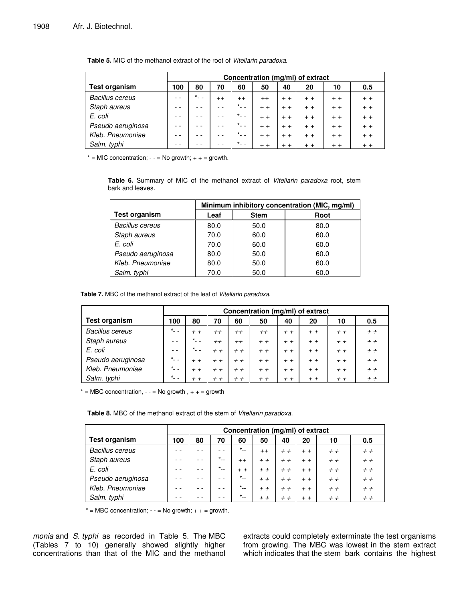|                        | Concentration (mg/ml) of extract |           |      |                    |         |       |       |       |       |  |
|------------------------|----------------------------------|-----------|------|--------------------|---------|-------|-------|-------|-------|--|
| <b>Test organism</b>   | 100                              | 80        | 70   | 60                 | 50      | 40    | 20    | 10    | 0.5   |  |
| <b>Bacillus cereus</b> |                                  | $\star$ . | $++$ | $^{++}$            | $^{++}$ | $+ +$ | $+ +$ | $+ +$ | $+ +$ |  |
| Staph aureus           |                                  |           |      | $*$ $-$            | $+ +$   | $+ +$ | $+ +$ | $+ +$ | $+ +$ |  |
| E. coli                |                                  |           |      | $*$ <sub>-</sub> - | $+ +$   | $+ +$ | $+ +$ | $+ +$ | $+ +$ |  |
| Pseudo aeruginosa      |                                  |           |      | $*$ <sub>--</sub>  | $+ +$   | $+ +$ | $+ +$ | $+ +$ | $+ +$ |  |
| Kleb. Pneumoniae       |                                  |           |      | $*$ <sub>--</sub>  | $+ +$   | $+ +$ | $+ +$ | $+ +$ | $+ +$ |  |
| Salm. typhi            |                                  |           |      | $*$ $-$            | $+ +$   | $+ +$ | $+ +$ | $+ +$ | $+ +$ |  |

**Table 5.** MIC of the methanol extract of the root of *Vitellarin paradoxa*.

 $* =$  MIC concentration;  $- =$  No growth;  $+ + =$  growth.

**Table 6.** Summary of MIC of the methanol extract of *Vitellarin paradoxa* root, stem bark and leaves.

|                        | Minimum inhibitory concentration (MIC, mg/ml) |             |      |  |  |  |  |  |  |
|------------------------|-----------------------------------------------|-------------|------|--|--|--|--|--|--|
| Test organism          | Leaf                                          | <b>Stem</b> | Root |  |  |  |  |  |  |
| <b>Bacillus cereus</b> | 80.0                                          | 50.0        | 80.0 |  |  |  |  |  |  |
| Staph aureus           | 70.0                                          | 60.0        | 60.0 |  |  |  |  |  |  |
| E. coli                | 70.0                                          | 60.0        | 60.0 |  |  |  |  |  |  |
| Pseudo aeruginosa      | 80.0                                          | 50.0        | 60.0 |  |  |  |  |  |  |
| Kleb. Pneumoniae       | 80.0                                          | 50.0        | 60.0 |  |  |  |  |  |  |
| Salm. typhi            | 70.0                                          | 50.0        | 60.0 |  |  |  |  |  |  |

**Table 7.** MBC of the methanol extract of the leaf of *Vitellarin paradoxa*.

|                        | Concentration (mg/ml) of extract |                      |         |       |         |       |       |       |       |  |
|------------------------|----------------------------------|----------------------|---------|-------|---------|-------|-------|-------|-------|--|
| <b>Test organism</b>   | 100                              | 80                   | 70      | 60    | 50      | 40    | 20    | 10    | 0.5   |  |
| <b>Bacillus cereus</b> | $\star$ <sub>-</sub>             | $+ +$                | $^{++}$ | $++$  | $^{++}$ | $+ +$ | $+ +$ | $+ +$ | $+ +$ |  |
| Staph aureus           | $ -$                             | $*$ <sub>-</sub> $-$ | $++$    | $++$  | $+ +$   | $+ +$ | $+ +$ | $+ +$ | $+ +$ |  |
| E. coli                |                                  | $*$ <sub>-</sub> -   | $+ +$   | $+ +$ | $+ +$   | $+ +$ | $+ +$ | $+ +$ | $+ +$ |  |
| Pseudo aeruginosa      | $\star$ .                        | $+ +$                | $+ +$   | $+ +$ | $+ +$   | $+ +$ | $+ +$ | $+ +$ | $+ +$ |  |
| Kleb. Pneumoniae       | $*$ <sub>-</sub> -               | $+ +$                | $+ +$   | $+ +$ | $+ +$   | $+ +$ | $+ +$ | $+ +$ | $+ +$ |  |
| Salm. typhi            | $*$ <sub>-</sub> -               | $+ +$                | $+ +$   | $+ +$ | $+ +$   | $+ +$ | $+ +$ | $+ +$ | $+ +$ |  |

 $* = \text{MBC concentration}, - = \text{No growth}, + + = \text{growth}$ 

**Table 8.** MBC of the methanol extract of the stem of *Vitellarin paradoxa*.

|                        | Concentration (mg/ml) of extract |    |          |                   |       |       |       |       |       |  |
|------------------------|----------------------------------|----|----------|-------------------|-------|-------|-------|-------|-------|--|
| <b>Test organism</b>   | 100                              | 80 | 70       | 60                | 50    | 40    | 20    | 10    | 0.5   |  |
| <b>Bacillus cereus</b> |                                  |    |          | $*$ <sub>--</sub> | $++$  | $+ +$ | $+ +$ | $+ +$ | $+ +$ |  |
| Staph aureus           |                                  |    | $*_{--}$ | $^{++}$           | $+ +$ | $+ +$ | $+ +$ | $+ +$ | $+ +$ |  |
| E. coli                |                                  |    | $*_{--}$ | $+ +$             | $+ +$ | $+ +$ | $+ +$ | $+ +$ | $+ +$ |  |
| Pseudo aeruginosa      |                                  |    |          | $x_{\rm max}$     | $+ +$ | $+ +$ | $+ +$ | $+ +$ | $+ +$ |  |
| Kleb. Pneumoniae       |                                  |    |          | $x_{\rm max}$     | $+ +$ | $+ +$ | $+ +$ | $+ +$ | $+ +$ |  |
| Salm. typhi            |                                  |    |          | $*_{--}$          | $+ +$ | $+ +$ | $+ +$ | $+ +$ | $+ +$ |  |

 $* = \text{MBC concentration}; - = \text{No growth}; + + = \text{growth}.$ 

*monia* and *S. typhi* as recorded in Table 5. The MBC (Tables 7 to 10) generally showed slightly higher concentrations than that of the MIC and the methanol

extracts could completely exterminate the test organisms from growing. The MBC was lowest in the stem extract which indicates that the stem bark contains the highest